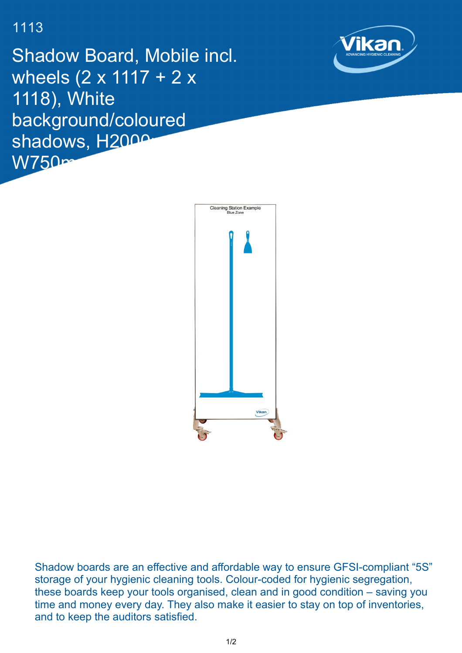## 1113

Shadow Board, Mobile incl. wheels (2 x 1117 + 2 x 1118), White background/coloured shadows, H<sub>2000</sub>  $W750$ m





Shadow boards are an effective and affordable way to ensure GFSI-compliant "5S" storage of your hygienic cleaning tools. Colour-coded for hygienic segregation, these boards keep your tools organised, clean and in good condition – saving you time and money every day. They also make it easier to stay on top of inventories, and to keep the auditors satisfied.